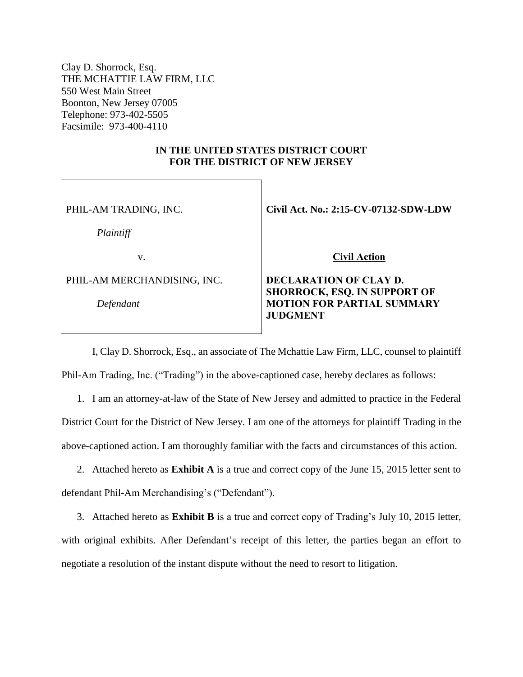Clay D. Shorrock, Esq. THE MCHATTIE LAW FIRM, LLC 550 West Main Street Boonton, New Jersey 07005 Telephone: 973-402-5505 Facsimile: 973-400-4110

## **IN THE UNITED STATES DISTRICT COURT FOR THE DISTRICT OF NEW JERSEY**

PHIL-AM TRADING, INC.

*Plaintiff*

v.

PHIL-AM MERCHANDISING, INC.

*Defendant*

**Civil Act. No.: 2:15-CV-07132-SDW-LDW** 

 **Civil Action** 

## **DECLARATION OF CLAY D. SHORROCK, ESQ. IN SUPPORT OF MOTION FOR PARTIAL SUMMARY JUDGMENT**

I, Clay D. Shorrock, Esq., an associate of The Mchattie Law Firm, LLC, counsel to plaintiff Phil-Am Trading, Inc. ("Trading") in the above-captioned case, hereby declares as follows:

1. I am an attorney-at-law of the State of New Jersey and admitted to practice in the Federal District Court for the District of New Jersey. I am one of the attorneys for plaintiff Trading in the above-captioned action. I am thoroughly familiar with the facts and circumstances of this action.

2. Attached hereto as **Exhibit A** is a true and correct copy of the June 15, 2015 letter sent to defendant Phil-Am Merchandising's ("Defendant").

3. Attached hereto as **Exhibit B** is a true and correct copy of Trading's July 10, 2015 letter, with original exhibits. After Defendant's receipt of this letter, the parties began an effort to negotiate a resolution of the instant dispute without the need to resort to litigation.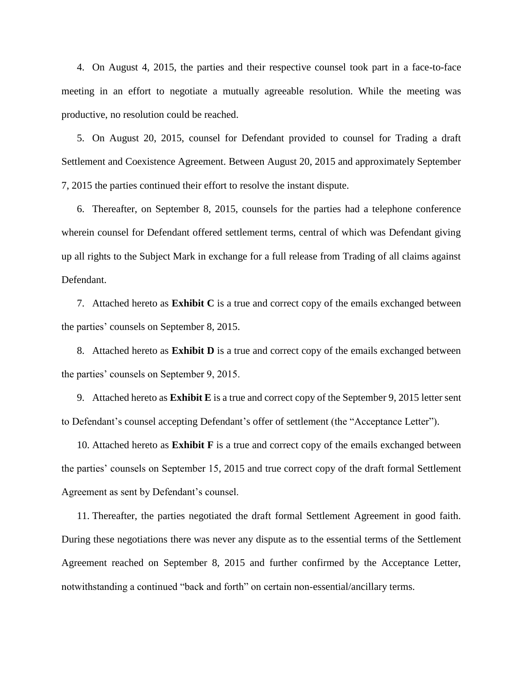4. On August 4, 2015, the parties and their respective counsel took part in a face-to-face meeting in an effort to negotiate a mutually agreeable resolution. While the meeting was productive, no resolution could be reached.

5. On August 20, 2015, counsel for Defendant provided to counsel for Trading a draft Settlement and Coexistence Agreement. Between August 20, 2015 and approximately September 7, 2015 the parties continued their effort to resolve the instant dispute.

6. Thereafter, on September 8, 2015, counsels for the parties had a telephone conference wherein counsel for Defendant offered settlement terms, central of which was Defendant giving up all rights to the Subject Mark in exchange for a full release from Trading of all claims against Defendant.

7. Attached hereto as **Exhibit C** is a true and correct copy of the emails exchanged between the parties' counsels on September 8, 2015.

8. Attached hereto as **Exhibit D** is a true and correct copy of the emails exchanged between the parties' counsels on September 9, 2015.

9. Attached hereto as **Exhibit E** is a true and correct copy of the September 9, 2015 letter sent to Defendant's counsel accepting Defendant's offer of settlement (the "Acceptance Letter").

10. Attached hereto as **Exhibit F** is a true and correct copy of the emails exchanged between the parties' counsels on September 15, 2015 and true correct copy of the draft formal Settlement Agreement as sent by Defendant's counsel.

11. Thereafter, the parties negotiated the draft formal Settlement Agreement in good faith. During these negotiations there was never any dispute as to the essential terms of the Settlement Agreement reached on September 8, 2015 and further confirmed by the Acceptance Letter, notwithstanding a continued "back and forth" on certain non-essential/ancillary terms.